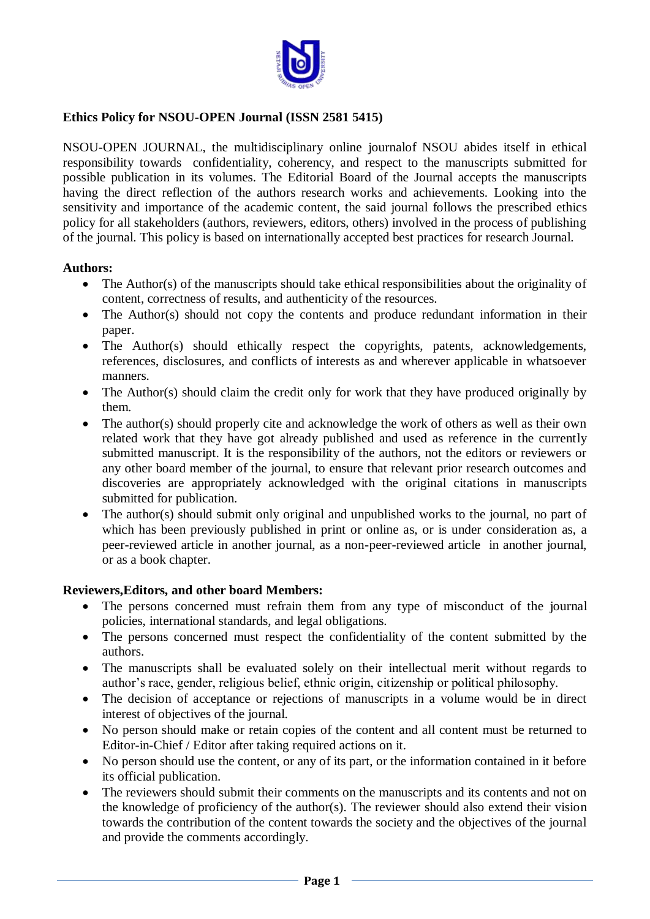

# **Ethics Policy for NSOU-OPEN Journal (ISSN 2581 5415)**

NSOU-OPEN JOURNAL, the multidisciplinary online journalof NSOU abides itself in ethical responsibility towards confidentiality, coherency, and respect to the manuscripts submitted for possible publication in its volumes. The Editorial Board of the Journal accepts the manuscripts having the direct reflection of the authors research works and achievements. Looking into the sensitivity and importance of the academic content, the said journal follows the prescribed ethics policy for all stakeholders (authors, reviewers, editors, others) involved in the process of publishing of the journal. This policy is based on internationally accepted best practices for research Journal.

### **Authors:**

- The Author(s) of the manuscripts should take ethical responsibilities about the originality of content, correctness of results, and authenticity of the resources.
- The Author(s) should not copy the contents and produce redundant information in their paper.
- The Author(s) should ethically respect the copyrights, patents, acknowledgements, references, disclosures, and conflicts of interests as and wherever applicable in whatsoever manners.
- The Author(s) should claim the credit only for work that they have produced originally by them.
- The author(s) should properly cite and acknowledge the work of others as well as their own related work that they have got already published and used as reference in the currently submitted manuscript. It is the responsibility of the authors, not the editors or reviewers or any other board member of the journal, to ensure that relevant prior research outcomes and discoveries are appropriately acknowledged with the original citations in manuscripts submitted for publication.
- The author(s) should submit only original and unpublished works to the journal, no part of which has been previously published in print or online as, or is under consideration as, a peer-reviewed article in another journal, as a non-peer-reviewed article in another journal, or as a book chapter.

## **Reviewers,Editors, and other board Members:**

- The persons concerned must refrain them from any type of misconduct of the journal policies, international standards, and legal obligations.
- The persons concerned must respect the confidentiality of the content submitted by the authors.
- The manuscripts shall be evaluated solely on their intellectual merit without regards to author's race, gender, religious belief, ethnic origin, citizenship or political philosophy.
- The decision of acceptance or rejections of manuscripts in a volume would be in direct interest of objectives of the journal.
- No person should make or retain copies of the content and all content must be returned to Editor-in-Chief / Editor after taking required actions on it.
- No person should use the content, or any of its part, or the information contained in it before its official publication.
- The reviewers should submit their comments on the manuscripts and its contents and not on the knowledge of proficiency of the author(s). The reviewer should also extend their vision towards the contribution of the content towards the society and the objectives of the journal and provide the comments accordingly.